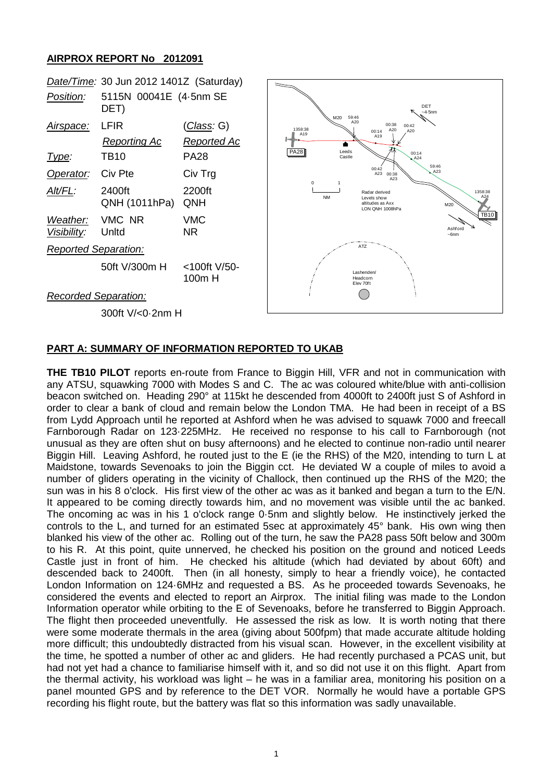## **AIRPROX REPORT No 2012091**



## **PART A: SUMMARY OF INFORMATION REPORTED TO UKAB**

**THE TB10 PILOT** reports en-route from France to Biggin Hill, VFR and not in communication with any ATSU, squawking 7000 with Modes S and C. The ac was coloured white/blue with anti-collision beacon switched on. Heading 290° at 115kt he descended from 4000ft to 2400ft just S of Ashford in order to clear a bank of cloud and remain below the London TMA. He had been in receipt of a BS from Lydd Approach until he reported at Ashford when he was advised to squawk 7000 and freecall Farnborough Radar on 123·225MHz. He received no response to his call to Farnborough (not unusual as they are often shut on busy afternoons) and he elected to continue non-radio until nearer Biggin Hill. Leaving Ashford, he routed just to the E (ie the RHS) of the M20, intending to turn L at Maidstone, towards Sevenoaks to join the Biggin cct. He deviated W a couple of miles to avoid a number of gliders operating in the vicinity of Challock, then continued up the RHS of the M20; the sun was in his 8 o'clock. His first view of the other ac was as it banked and began a turn to the E/N. It appeared to be coming directly towards him, and no movement was visible until the ac banked. The oncoming ac was in his 1 o'clock range 0·5nm and slightly below. He instinctively jerked the controls to the L, and turned for an estimated 5sec at approximately 45° bank. His own wing then blanked his view of the other ac. Rolling out of the turn, he saw the PA28 pass 50ft below and 300m to his R. At this point, quite unnerved, he checked his position on the ground and noticed Leeds Castle just in front of him. He checked his altitude (which had deviated by about 60ft) and descended back to 2400ft. Then (in all honesty, simply to hear a friendly voice), he contacted London Information on 124·6MHz and requested a BS. As he proceeded towards Sevenoaks, he considered the events and elected to report an Airprox. The initial filing was made to the London Information operator while orbiting to the E of Sevenoaks, before he transferred to Biggin Approach. The flight then proceeded uneventfully. He assessed the risk as low. It is worth noting that there were some moderate thermals in the area (giving about 500fpm) that made accurate altitude holding more difficult; this undoubtedly distracted from his visual scan. However, in the excellent visibility at the time, he spotted a number of other ac and gliders. He had recently purchased a PCAS unit, but had not yet had a chance to familiarise himself with it, and so did not use it on this flight. Apart from the thermal activity, his workload was light – he was in a familiar area, monitoring his position on a panel mounted GPS and by reference to the DET VOR. Normally he would have a portable GPS recording his flight route, but the battery was flat so this information was sadly unavailable.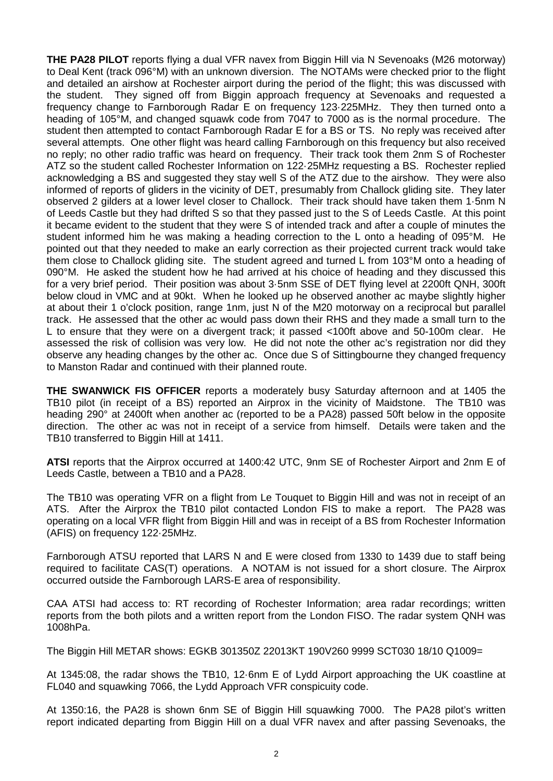**THE PA28 PILOT** reports flying a dual VFR navex from Biggin Hill via N Sevenoaks (M26 motorway) to Deal Kent (track 096°M) with an unknown diversion. The NOTAMs were checked prior to the flight and detailed an airshow at Rochester airport during the period of the flight; this was discussed with the student. They signed off from Biggin approach frequency at Sevenoaks and requested a frequency change to Farnborough Radar E on frequency 123·225MHz. They then turned onto a heading of 105°M, and changed squawk code from 7047 to 7000 as is the normal procedure. The student then attempted to contact Farnborough Radar E for a BS or TS. No reply was received after several attempts. One other flight was heard calling Farnborough on this frequency but also received no reply; no other radio traffic was heard on frequency. Their track took them 2nm S of Rochester ATZ so the student called Rochester Information on 122·25MHz requesting a BS. Rochester replied acknowledging a BS and suggested they stay well S of the ATZ due to the airshow. They were also informed of reports of gliders in the vicinity of DET, presumably from Challock gliding site. They later observed 2 gilders at a lower level closer to Challock. Their track should have taken them 1·5nm N of Leeds Castle but they had drifted S so that they passed just to the S of Leeds Castle. At this point it became evident to the student that they were S of intended track and after a couple of minutes the student informed him he was making a heading correction to the L onto a heading of 095°M. He pointed out that they needed to make an early correction as their projected current track would take them close to Challock gliding site. The student agreed and turned L from 103°M onto a heading of 090°M. He asked the student how he had arrived at his choice of heading and they discussed this for a very brief period. Their position was about 3·5nm SSE of DET flying level at 2200ft QNH, 300ft below cloud in VMC and at 90kt. When he looked up he observed another ac maybe slightly higher at about their 1 o'clock position, range 1nm, just N of the M20 motorway on a reciprocal but parallel track. He assessed that the other ac would pass down their RHS and they made a small turn to the L to ensure that they were on a divergent track; it passed <100ft above and 50-100m clear. He assessed the risk of collision was very low. He did not note the other ac's registration nor did they observe any heading changes by the other ac. Once due S of Sittingbourne they changed frequency to Manston Radar and continued with their planned route.

**THE SWANWICK FIS OFFICER** reports a moderately busy Saturday afternoon and at 1405 the TB10 pilot (in receipt of a BS) reported an Airprox in the vicinity of Maidstone. The TB10 was heading 290° at 2400ft when another ac (reported to be a PA28) passed 50ft below in the opposite direction. The other ac was not in receipt of a service from himself. Details were taken and the TB10 transferred to Biggin Hill at 1411.

**ATSI** reports that the Airprox occurred at 1400:42 UTC, 9nm SE of Rochester Airport and 2nm E of Leeds Castle, between a TB10 and a PA28.

The TB10 was operating VFR on a flight from Le Touquet to Biggin Hill and was not in receipt of an ATS. After the Airprox the TB10 pilot contacted London FIS to make a report. The PA28 was operating on a local VFR flight from Biggin Hill and was in receipt of a BS from Rochester Information (AFIS) on frequency 122·25MHz.

Farnborough ATSU reported that LARS N and E were closed from 1330 to 1439 due to staff being required to facilitate CAS(T) operations. A NOTAM is not issued for a short closure. The Airprox occurred outside the Farnborough LARS-E area of responsibility.

CAA ATSI had access to: RT recording of Rochester Information; area radar recordings; written reports from the both pilots and a written report from the London FISO. The radar system QNH was 1008hPa.

The Biggin Hill METAR shows: EGKB 301350Z 22013KT 190V260 9999 SCT030 18/10 Q1009=

At 1345:08, the radar shows the TB10, 12·6nm E of Lydd Airport approaching the UK coastline at FL040 and squawking 7066, the Lydd Approach VFR conspicuity code.

At 1350:16, the PA28 is shown 6nm SE of Biggin Hill squawking 7000. The PA28 pilot's written report indicated departing from Biggin Hill on a dual VFR navex and after passing Sevenoaks, the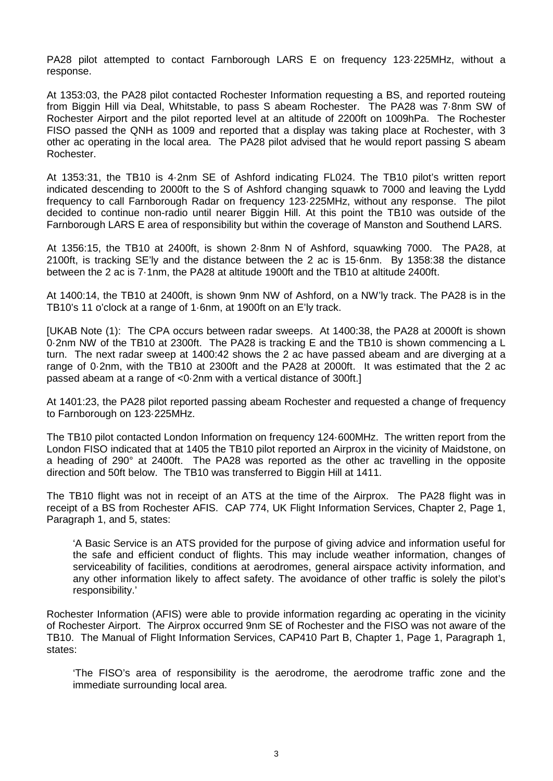PA28 pilot attempted to contact Farnborough LARS E on frequency 123·225MHz, without a response.

At 1353:03, the PA28 pilot contacted Rochester Information requesting a BS, and reported routeing from Biggin Hill via Deal, Whitstable, to pass S abeam Rochester. The PA28 was 7·8nm SW of Rochester Airport and the pilot reported level at an altitude of 2200ft on 1009hPa. The Rochester FISO passed the QNH as 1009 and reported that a display was taking place at Rochester, with 3 other ac operating in the local area. The PA28 pilot advised that he would report passing S abeam Rochester.

At 1353:31, the TB10 is 4·2nm SE of Ashford indicating FL024. The TB10 pilot's written report indicated descending to 2000ft to the S of Ashford changing squawk to 7000 and leaving the Lydd frequency to call Farnborough Radar on frequency 123·225MHz, without any response. The pilot decided to continue non-radio until nearer Biggin Hill. At this point the TB10 was outside of the Farnborough LARS E area of responsibility but within the coverage of Manston and Southend LARS.

At 1356:15, the TB10 at 2400ft, is shown 2·8nm N of Ashford, squawking 7000. The PA28, at 2100ft, is tracking SE'ly and the distance between the 2 ac is 15·6nm. By 1358:38 the distance between the 2 ac is 7·1nm, the PA28 at altitude 1900ft and the TB10 at altitude 2400ft.

At 1400:14, the TB10 at 2400ft, is shown 9nm NW of Ashford, on a NW'ly track. The PA28 is in the TB10's 11 o'clock at a range of 1·6nm, at 1900ft on an E'ly track.

[UKAB Note (1): The CPA occurs between radar sweeps. At 1400:38, the PA28 at 2000ft is shown 0·2nm NW of the TB10 at 2300ft. The PA28 is tracking E and the TB10 is shown commencing a L turn. The next radar sweep at 1400:42 shows the 2 ac have passed abeam and are diverging at a range of 0·2nm, with the TB10 at 2300ft and the PA28 at 2000ft. It was estimated that the 2 ac passed abeam at a range of <0·2nm with a vertical distance of 300ft.]

At 1401:23, the PA28 pilot reported passing abeam Rochester and requested a change of frequency to Farnborough on 123·225MHz.

The TB10 pilot contacted London Information on frequency 124·600MHz. The written report from the London FISO indicated that at 1405 the TB10 pilot reported an Airprox in the vicinity of Maidstone, on a heading of 290° at 2400ft. The PA28 was reported as the other ac travelling in the opposite direction and 50ft below. The TB10 was transferred to Biggin Hill at 1411.

The TB10 flight was not in receipt of an ATS at the time of the Airprox. The PA28 flight was in receipt of a BS from Rochester AFIS. CAP 774, UK Flight Information Services, Chapter 2, Page 1, Paragraph 1, and 5, states:

'A Basic Service is an ATS provided for the purpose of giving advice and information useful for the safe and efficient conduct of flights. This may include weather information, changes of serviceability of facilities, conditions at aerodromes, general airspace activity information, and any other information likely to affect safety. The avoidance of other traffic is solely the pilot's responsibility.'

Rochester Information (AFIS) were able to provide information regarding ac operating in the vicinity of Rochester Airport. The Airprox occurred 9nm SE of Rochester and the FISO was not aware of the TB10. The Manual of Flight Information Services, CAP410 Part B, Chapter 1, Page 1, Paragraph 1, states:

'The FISO's area of responsibility is the aerodrome, the aerodrome traffic zone and the immediate surrounding local area.